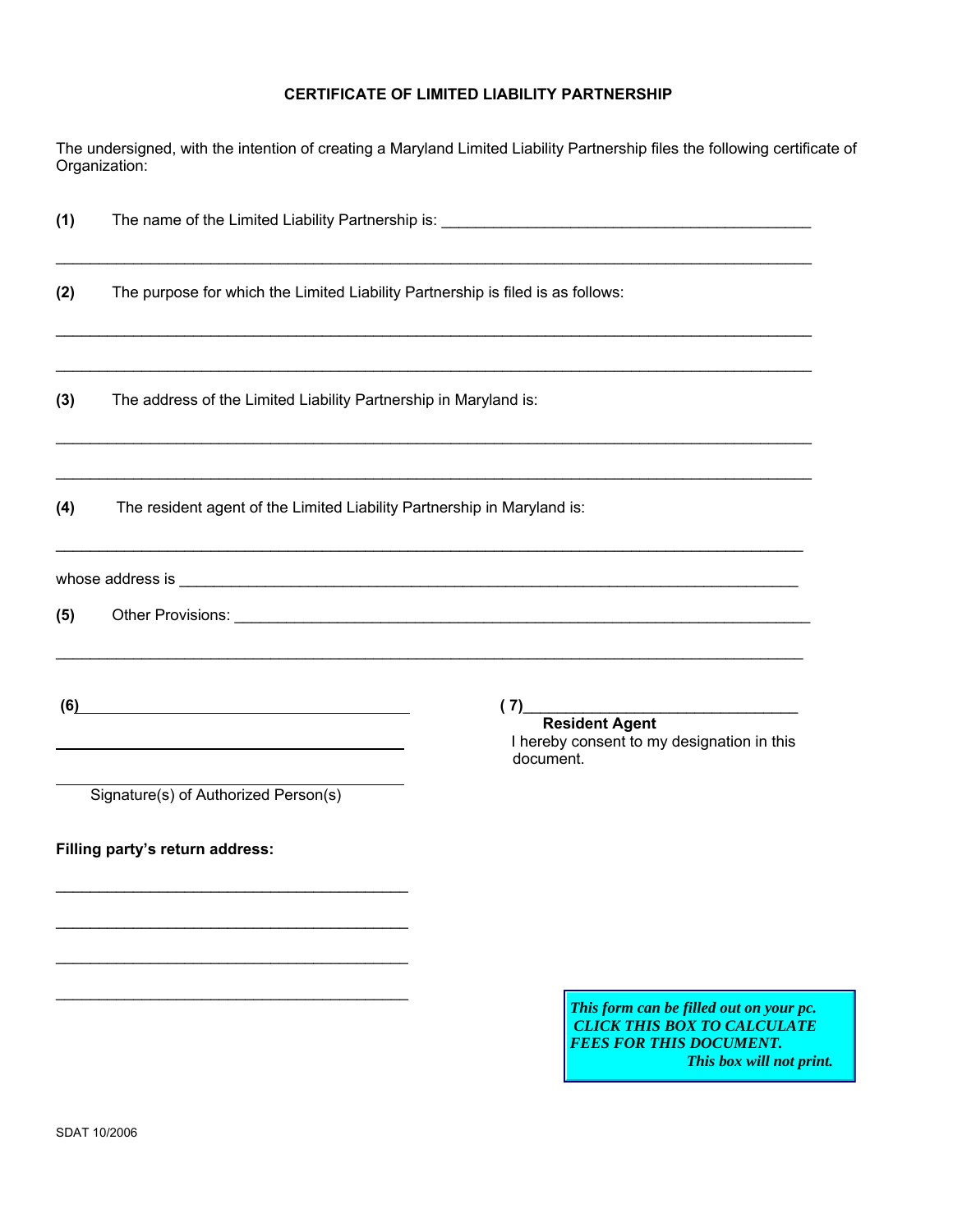## **CERTIFICATE OF LIMITED LIABILITY PARTNERSHIP**

The undersigned, with the intention of creating a Maryland Limited Liability Partnership files the following certificate of Organization:

| (1) |                                                                                                                                                              |                                                                                                                                                                                                                                |  |
|-----|--------------------------------------------------------------------------------------------------------------------------------------------------------------|--------------------------------------------------------------------------------------------------------------------------------------------------------------------------------------------------------------------------------|--|
| (2) | The purpose for which the Limited Liability Partnership is filed is as follows:                                                                              |                                                                                                                                                                                                                                |  |
| (3) | The address of the Limited Liability Partnership in Maryland is:                                                                                             |                                                                                                                                                                                                                                |  |
| (4) | ,我们也不能在这里的人,我们也不能在这里的人,我们也不能在这里的人,我们也不能在这里的人,我们也不能在这里的人,我们也不能在这里的人,我们也不能在这里的人,我们也<br>The resident agent of the Limited Liability Partnership in Maryland is: |                                                                                                                                                                                                                                |  |
|     |                                                                                                                                                              | whose address is services is the contract of the contract of the contract of the contract of the contract of the contract of the contract of the contract of the contract of the contract of the contract of the contract of t |  |
| (5) |                                                                                                                                                              | Other Provisions: New York: New York: New York: New York: New York: New York: New York: New York: New York: New York: New York: New York: New York: New York: New York: New York: New York: New York: New York: New York: New  |  |
|     | (6)<br><u> 1989 - Johann Stein, mars an deutscher Stein und der Stein und der Stein und der Stein und der Stein und der</u>                                  | (7)<br>Resident Agent<br>I hereby consent to my designation in this<br>document.                                                                                                                                               |  |
|     | Signature(s) of Authorized Person(s)                                                                                                                         |                                                                                                                                                                                                                                |  |
|     | Filling party's return address:                                                                                                                              |                                                                                                                                                                                                                                |  |
|     |                                                                                                                                                              | This form can be filled out on your pc.<br><b>CLICK THIS BOX TO CALCULATE</b><br><b>FEES FOR THIS DOCUMENT.</b><br>This box will not print.                                                                                    |  |
|     | SDAT 10/2006                                                                                                                                                 |                                                                                                                                                                                                                                |  |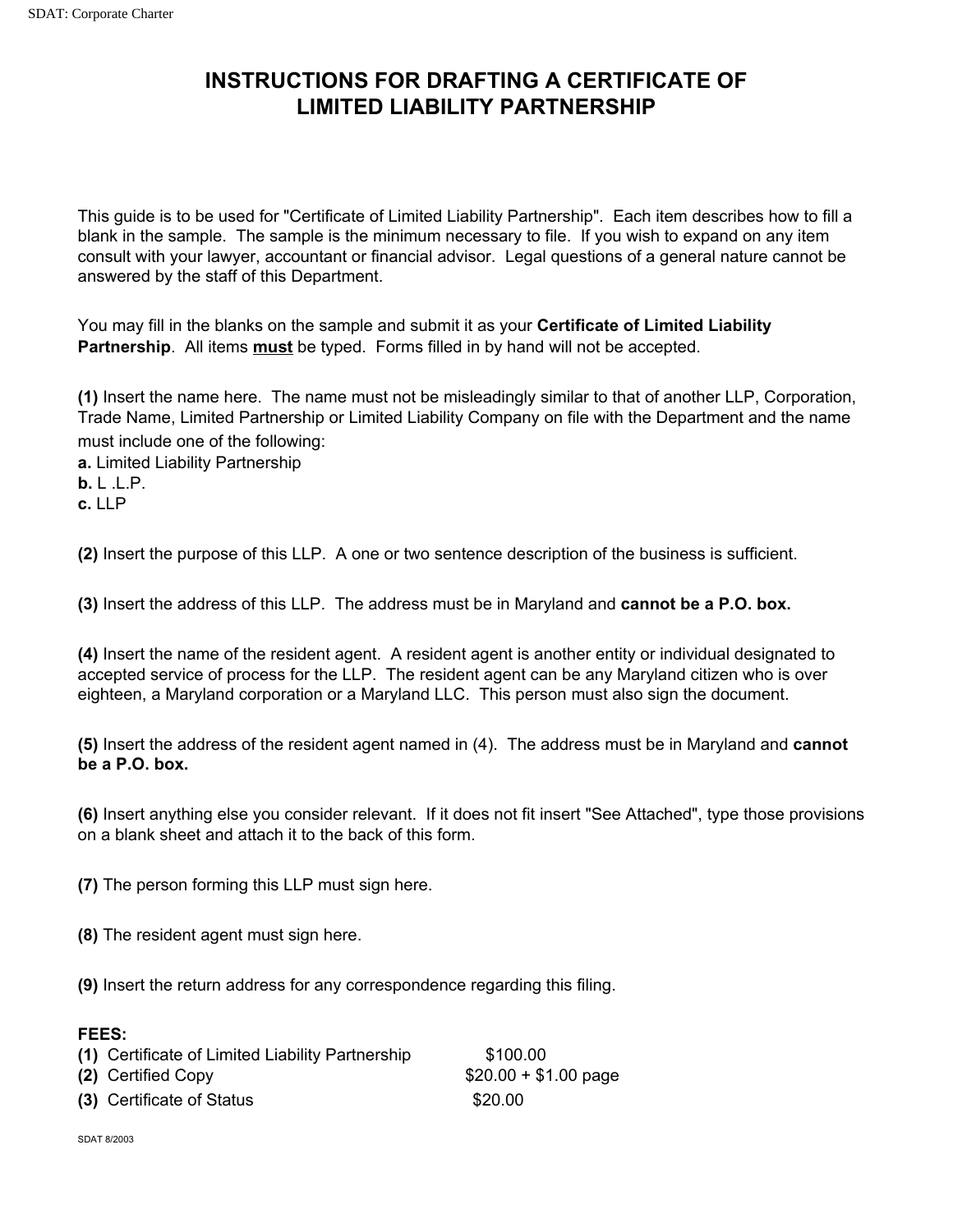## **INSTRUCTIONS FOR DRAFTING A CERTIFICATE OF LIMITED LIABILITY PARTNERSHIP**

This guide is to be used for "Certificate of Limited Liability Partnership". Each item describes how to fill a blank in the sample. The sample is the minimum necessary to file. If you wish to expand on any item consult with your lawyer, accountant or financial advisor. Legal questions of a general nature cannot be answered by the staff of this Department.

You may fill in the blanks on the sample and submit it as your **Certificate of Limited Liability Partnership**. All items **must** be typed. Forms filled in by hand will not be accepted.

**(1)** Insert the name here. The name must not be misleadingly similar to that of another LLP, Corporation, Trade Name, Limited Partnership or Limited Liability Company on file with the Department and the name must include one of the following:

**a.** Limited Liability Partnership

**b.** L .L.P.

**c.** LLP

**(2)** Insert the purpose of this LLP. A one or two sentence description of the business is sufficient.

**(3)** Insert the address of this LLP. The address must be in Maryland and **cannot be a P.O. box.**

**(4)** Insert the name of the resident agent. A resident agent is another entity or individual designated to accepted service of process for the LLP. The resident agent can be any Maryland citizen who is over eighteen, a Maryland corporation or a Maryland LLC. This person must also sign the document.

**(5)** Insert the address of the resident agent named in (4). The address must be in Maryland and **cannot be a P.O. box.**

**(6)** Insert anything else you consider relevant. If it does not fit insert "See Attached", type those provisions on a blank sheet and attach it to the back of this form.

**(7)** The person forming this LLP must sign here.

**(8)** The resident agent must sign here.

**(9)** Insert the return address for any correspondence regarding this filing.

## **FEES:**

| (1) Certificate of Limited Liability Partnership | \$100.00              |
|--------------------------------------------------|-----------------------|
| (2) Certified Copy                               | $$20.00 + $1.00$ page |
| (3) Certificate of Status                        | \$20.00               |